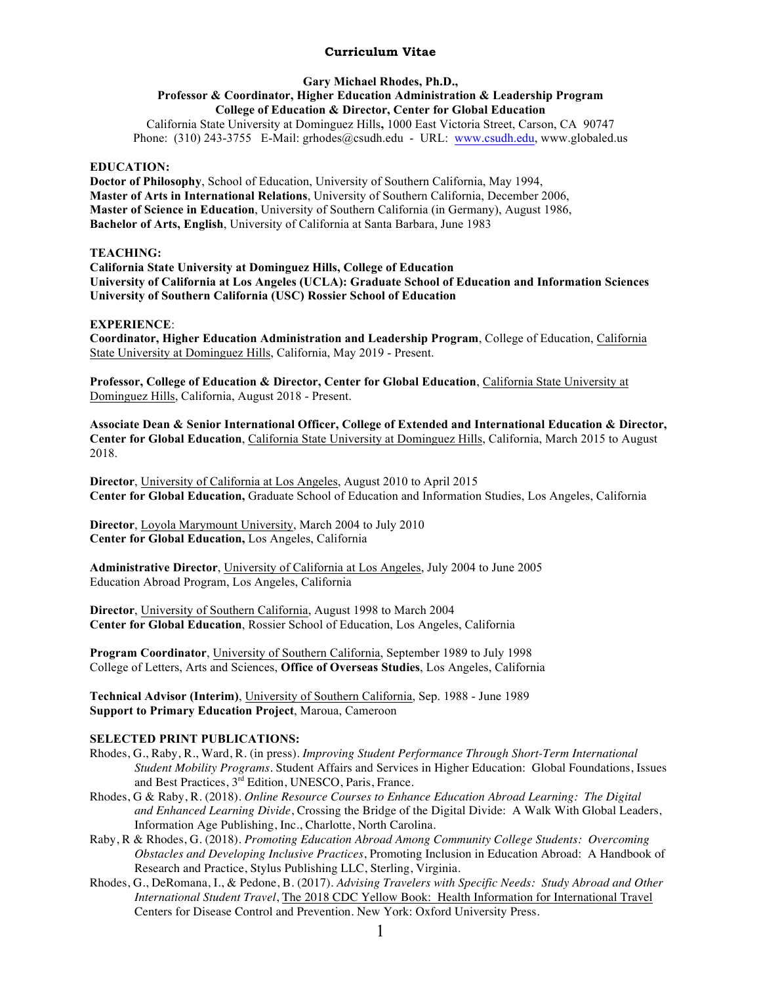## **Curriculum Vitae**

## **Gary Michael Rhodes, Ph.D., Professor & Coordinator, Higher Education Administration & Leadership Program College of Education & Director, Center for Global Education**

California State University at Dominguez Hills**,** 1000 East Victoria Street, Carson, CA 90747 Phone: (310) 243-3755 E-Mail: grhodes@csudh.edu - URL: www.csudh.edu, www.globaled.us

#### **EDUCATION:**

**Doctor of Philosophy**, School of Education, University of Southern California, May 1994, **Master of Arts in International Relations**, University of Southern California, December 2006, **Master of Science in Education**, University of Southern California (in Germany), August 1986, **Bachelor of Arts, English**, University of California at Santa Barbara, June 1983

## **TEACHING:**

**California State University at Dominguez Hills, College of Education University of California at Los Angeles (UCLA): Graduate School of Education and Information Sciences University of Southern California (USC) Rossier School of Education**

## **EXPERIENCE**:

**Coordinator, Higher Education Administration and Leadership Program**, College of Education, California State University at Dominguez Hills, California, May 2019 - Present.

**Professor, College of Education & Director, Center for Global Education**, California State University at Dominguez Hills, California, August 2018 - Present.

**Associate Dean & Senior International Officer, College of Extended and International Education & Director, Center for Global Education**, California State University at Dominguez Hills, California, March 2015 to August 2018.

**Director**, University of California at Los Angeles, August 2010 to April 2015 **Center for Global Education,** Graduate School of Education and Information Studies, Los Angeles, California

**Director**, Loyola Marymount University, March 2004 to July 2010 **Center for Global Education,** Los Angeles, California

**Administrative Director**, University of California at Los Angeles, July 2004 to June 2005 Education Abroad Program, Los Angeles, California

**Director**, University of Southern California, August 1998 to March 2004 **Center for Global Education**, Rossier School of Education, Los Angeles, California

**Program Coordinator**, University of Southern California, September 1989 to July 1998 College of Letters, Arts and Sciences, **Office of Overseas Studies**, Los Angeles, California

**Technical Advisor (Interim)**, University of Southern California, Sep. 1988 - June 1989 **Support to Primary Education Project**, Maroua, Cameroon

# **SELECTED PRINT PUBLICATIONS:**

- Rhodes, G., Raby, R., Ward, R. (in press). *Improving Student Performance Through Short-Term International Student Mobility Programs*. Student Affairs and Services in Higher Education: Global Foundations, Issues and Best Practices, 3<sup>rd</sup> Edition, UNESCO, Paris, France.
- Rhodes, G & Raby, R. (2018). *Online Resource Courses to Enhance Education Abroad Learning: The Digital and Enhanced Learning Divide*, Crossing the Bridge of the Digital Divide: A Walk With Global Leaders, Information Age Publishing, Inc., Charlotte, North Carolina.
- Raby, R & Rhodes, G. (2018). *Promoting Education Abroad Among Community College Students: Overcoming Obstacles and Developing Inclusive Practices*, Promoting Inclusion in Education Abroad: A Handbook of Research and Practice, Stylus Publishing LLC, Sterling, Virginia.
- Rhodes, G., DeRomana, I., & Pedone, B. (2017). *Advising Travelers with Specific Needs: Study Abroad and Other International Student Travel*, The 2018 CDC Yellow Book: Health Information for International Travel Centers for Disease Control and Prevention. New York: Oxford University Press.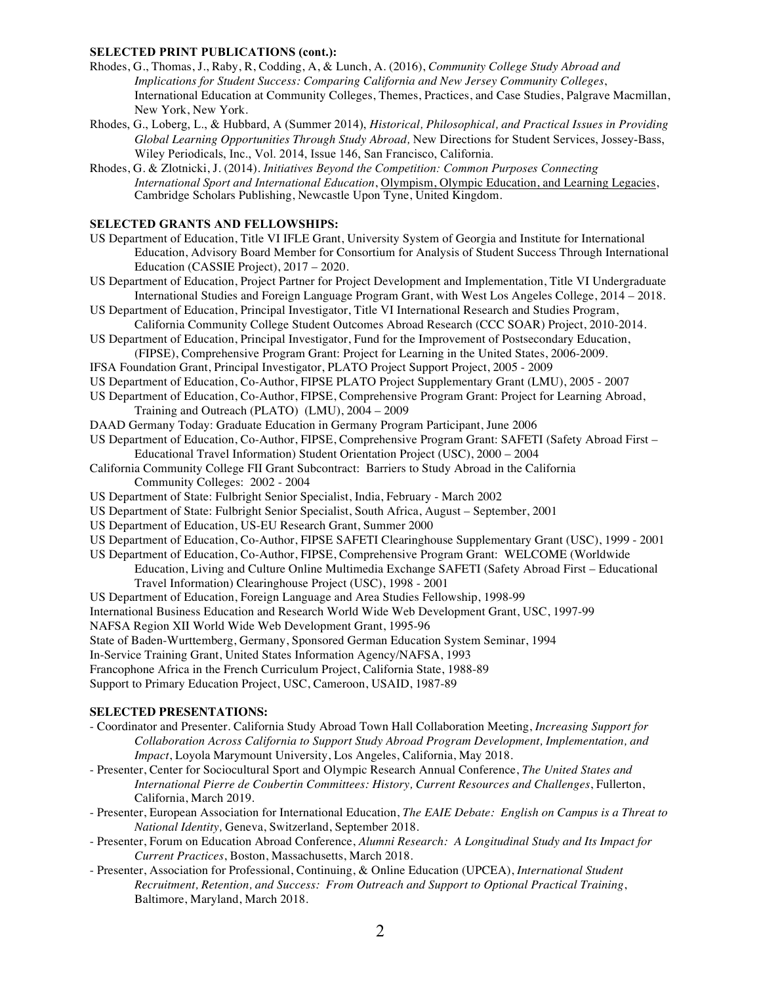#### **SELECTED PRINT PUBLICATIONS (cont.):**

- Rhodes, G., Thomas, J., Raby, R, Codding, A, & Lunch, A. (2016), *Community College Study Abroad and Implications for Student Success: Comparing California and New Jersey Community Colleges*, International Education at Community Colleges, Themes, Practices, and Case Studies, Palgrave Macmillan, New York, New York.
- Rhodes, G., Loberg, L., & Hubbard, A (Summer 2014), *Historical, Philosophical, and Practical Issues in Providing Global Learning Opportunities Through Study Abroad,* New Directions for Student Services, Jossey-Bass, Wiley Periodicals, Inc., Vol. 2014, Issue 146, San Francisco, California.
- Rhodes, G. & Zlotnicki, J. (2014). *Initiatives Beyond the Competition: Common Purposes Connecting International Sport and International Education*, Olympism, Olympic Education, and Learning Legacies, Cambridge Scholars Publishing, Newcastle Upon Tyne, United Kingdom.

#### **SELECTED GRANTS AND FELLOWSHIPS:**

- US Department of Education, Title VI IFLE Grant, University System of Georgia and Institute for International Education, Advisory Board Member for Consortium for Analysis of Student Success Through International Education (CASSIE Project), 2017 – 2020.
- US Department of Education, Project Partner for Project Development and Implementation, Title VI Undergraduate International Studies and Foreign Language Program Grant, with West Los Angeles College, 2014 – 2018.
- US Department of Education, Principal Investigator, Title VI International Research and Studies Program, California Community College Student Outcomes Abroad Research (CCC SOAR) Project, 2010-2014.
- US Department of Education, Principal Investigator, Fund for the Improvement of Postsecondary Education, (FIPSE), Comprehensive Program Grant: Project for Learning in the United States, 2006-2009.
- IFSA Foundation Grant, Principal Investigator, PLATO Project Support Project, 2005 2009
- US Department of Education, Co-Author, FIPSE PLATO Project Supplementary Grant (LMU), 2005 2007
- US Department of Education, Co-Author, FIPSE, Comprehensive Program Grant: Project for Learning Abroad, Training and Outreach (PLATO) (LMU), 2004 – 2009
- DAAD Germany Today: Graduate Education in Germany Program Participant, June 2006
- US Department of Education, Co-Author, FIPSE, Comprehensive Program Grant: SAFETI (Safety Abroad First Educational Travel Information) Student Orientation Project (USC), 2000 – 2004
- California Community College FII Grant Subcontract: Barriers to Study Abroad in the California Community Colleges: 2002 - 2004
- US Department of State: Fulbright Senior Specialist, India, February March 2002
- US Department of State: Fulbright Senior Specialist, South Africa, August September, 2001
- US Department of Education, US-EU Research Grant, Summer 2000
- US Department of Education, Co-Author, FIPSE SAFETI Clearinghouse Supplementary Grant (USC), 1999 2001
- US Department of Education, Co-Author, FIPSE, Comprehensive Program Grant: WELCOME (Worldwide Education, Living and Culture Online Multimedia Exchange SAFETI (Safety Abroad First – Educational Travel Information) Clearinghouse Project (USC), 1998 - 2001
- US Department of Education, Foreign Language and Area Studies Fellowship, 1998-99
- International Business Education and Research World Wide Web Development Grant, USC, 1997-99

NAFSA Region XII World Wide Web Development Grant, 1995-96

- State of Baden-Wurttemberg, Germany, Sponsored German Education System Seminar, 1994
- In-Service Training Grant, United States Information Agency/NAFSA, 1993
- Francophone Africa in the French Curriculum Project, California State, 1988-89

Support to Primary Education Project, USC, Cameroon, USAID, 1987-89

## **SELECTED PRESENTATIONS:**

- Coordinator and Presenter. California Study Abroad Town Hall Collaboration Meeting, *Increasing Support for Collaboration Across California to Support Study Abroad Program Development, Implementation, and Impact*, Loyola Marymount University, Los Angeles, California, May 2018.
- Presenter, Center for Sociocultural Sport and Olympic Research Annual Conference, *The United States and International Pierre de Coubertin Committees: History, Current Resources and Challenges*, Fullerton, California, March 2019.
- Presenter, European Association for International Education, *The EAIE Debate: English on Campus is a Threat to National Identity,* Geneva, Switzerland, September 2018.
- Presenter, Forum on Education Abroad Conference, *Alumni Research: A Longitudinal Study and Its Impact for Current Practices*, Boston, Massachusetts, March 2018.
- Presenter, Association for Professional, Continuing, & Online Education (UPCEA), *International Student Recruitment, Retention, and Success: From Outreach and Support to Optional Practical Training*, Baltimore, Maryland, March 2018.